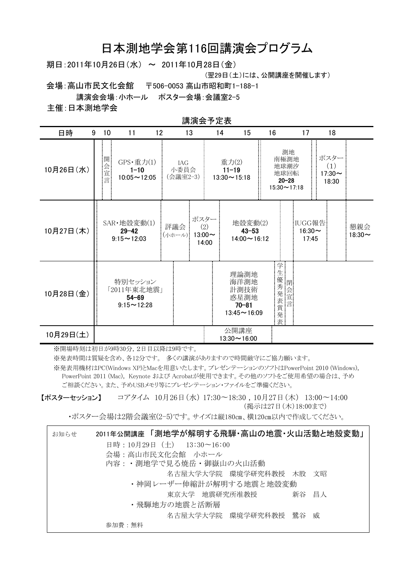# 日本測地学会第116回講演会プログラム

期日: 2011年10月26日(水) ~ 2011年10月28日(金)

(翌29日(土)には、公開講座を開催します)

会場:高山市民文化会館 〒506-0053 高山市昭和町1-188-1

講演会会場:小ホール ポスター会場:会議室2-5

主催:日本測地学会

| 講演会予定表 |  |
|--------|--|

| 日時<br>9   | 10   | 11                                            | 12                                                       |                         | 13                                   | 14 | 15                                                              | 16                                                            | 17                              | 18                                   |                     |
|-----------|------|-----------------------------------------------|----------------------------------------------------------|-------------------------|--------------------------------------|----|-----------------------------------------------------------------|---------------------------------------------------------------|---------------------------------|--------------------------------------|---------------------|
| 10月26日(水) | 開会宣言 |                                               | GPS·重力(1)<br>$1 - 10$<br>$10:05 - 12:05$                 | IAG<br>小委員会<br>(会議室2-3) |                                      |    | 重力(2)<br>$11 - 19$<br>$13:30 \sim 15:18$                        | 測地<br>南極測地<br>地球潮汐<br>地球回転<br>$20 - 28$<br>$15:30 \sim 17:18$ |                                 | ポスター<br>(1)<br>$17:30 \sim$<br>18:30 |                     |
| 10月27日(木) |      | SAR·地殻変動(1)<br>$29 - 42$<br>$9:15 \sim 12:03$ |                                                          | 評議会<br>(小ホール):          | ポスター<br>(2)<br>$13:00 \sim$<br>14:00 |    | 地殻変動(2)<br>$43 - 53$<br>$14:00 \sim 16:12$                      |                                                               | IUGG報告<br>$16:30 \sim$<br>17:45 |                                      | 懇親会<br>$18:30 \sim$ |
| 10月28日(金) |      |                                               | 特別セッション<br>「2011年東北地震」<br>$54 - 69$<br>$9:15 \sim 12:28$ |                         |                                      |    | 理論測地<br>海洋測地<br>計測技術<br>惑星測地<br>$70 - 81$<br>$13:45 \sim 16:09$ | 学<br>生<br>生<br>優秀<br>元表賞発表                                    |                                 |                                      |                     |
| 10月29日(土) |      |                                               |                                                          |                         |                                      |    | 公開講座<br>$13:30 \sim 16:00$                                      |                                                               |                                 |                                      |                     |

※開場時刻は初日が9時30分、2日目以降は9時です。

※発表時間は質疑を含め、各12分です。多くの講演がありますので時間厳守にご協力願います。

※発表用機材はPC(Windows XP)とMacを用意いたします。プレゼンテーションのソフトはPowerPoint 2010 (Windows), PowerPoint 2011 (Mac), Keynote および Acrobatが使用できます。その他のソフトをご使用希望の場合は、予め ご相談ください。また、予めUSBメモリ等にプレゼンテーション・ファイルをご準備ください。

【ポスターセッション】 コアタイム 10月26日 (水) 17:30~18:30, 10月27日 (木) 13:00~14:00 (掲示は27日 (木)18:00まで)

·ポスター会場は2階会議室(2-5)です。サイズは縦180㎝、横120㎝以内で作成してください。

| お知らせ | 2011年公開講座 「測地学が解明する飛騨・高山の地震・火山活動と地殻変動」 |
|------|----------------------------------------|
|      | 日時: 10月29日 (土) 13:30~16:00             |
|      | 会場:高山市民文化会館 小ホール                       |
|      | 内容: ・測地学で見る焼岳・御嶽山の火山活動                 |
|      | 名古屋大学大学院 環境学研究科教授 木股 文昭                |
|      | ・神岡レーザー伸縮計が解明する地震と地殻変動                 |
|      | 東京大学 地震研究所准教授     新谷 昌人                |
|      | ・飛騨地方の地震と活断層                           |
|      | 名古屋大学大学院 環境学研究科教授 鷺谷 威                 |
|      | 参加費:無料                                 |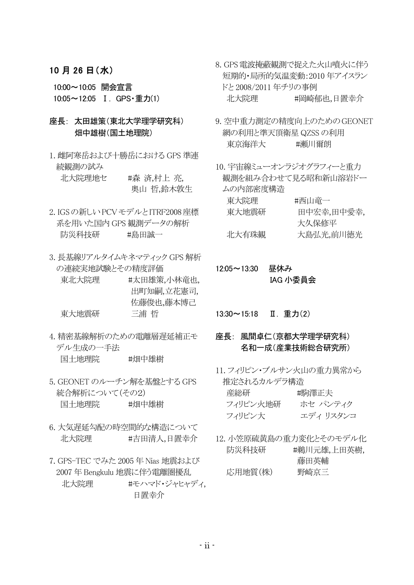#### 10月26日(水)

10:00~10:05 開会宣言 10:05~12:05 I. GPS · 重力(1)

#### 座長: 太田雄策(東北大学理学研究科) 畑中雄樹(国土地理院)

- 1. 雌阿寒岳および十勝岳における GPS 準連 続観測の試み 北大院理地セ #森 済,村上 亮, 奥山 哲,鈴木敦生
- 2. IGSの新しい PCVモデルとITRF2008座標 系を用いた国内 GPS 観測データの解析 防災科技研 #鳥田誠一
- 3. 長基線リアルタイムキネマティック GPS 解析 の連続実地試験とその精度評価
	- #太田雄策,小林竜也, 東北大院理 出町知嗣,立花憲司, 佐藤俊也,藤本博己 三浦 哲 東大地震研
- 4. 精密基線解析のための雷離層遅延補正モ デル生成の一手法 国十地理院 #畑中雄樹
- 5. GEONET のルーチン解を基盤とする GPS 統合解析について(その2) 国十地理院 #畑中雄樹
- 6. 大気遅延勾配の時空間的な構造について #吉田清人,日置幸介 北大院理
- 7. GPS-TEC でみた 2005 年 Nias 地震および 2007年 Bengkulu 地震に伴う電離圏擾乱 #モハマド・ジャヒャディ. 北大院理 日置幸介
- 8. GPS 雷波掩蔽観測で捉えた火山噴火に伴う 短期的·局所的気温変動: 2010年アイスラン ドと2008/2011年チリの事例 北大院理 #岡崎郁也,日置幸介
- 9. 空中重力測定の精度向上のためのGEONET 網の利用と準天頂衛星 QZSS の利用 東京海洋大 #瀬川爾朗
- 10. 宇宙線ミューオンラジオグラフィーと重力 観測を組み合わせて見る昭和新山溶岩ドー ムの内部密度構造 東大院理 #西山竜一 東大地震研 田中宏幸,田中愛幸, 大久保修平
	- 北大有珠観 大島弘光,前川徳光
- 12:05~13:30 昼休み IAG 小委員会

13:30~15:18 Ⅱ. 重力(2)

- 座長: 風間卓仁(京都大学理学研究科) 名和一成(産業技術総合研究所)
- 11. フィリピン・ブルサン火山の重力異常から 推定されるカルデラ構造

| 産総研      | #駒澤正夫    |
|----------|----------|
| フィリピン火地研 | ホセ パンティク |
| フィリピン大   | エディリスタンコ |

12. 小笠原硫黄島の重力変化とそのモデル化 防災科技研 #鵜川元雄,上田英樹, 藤田英輔 応用地質(株) 野崎京三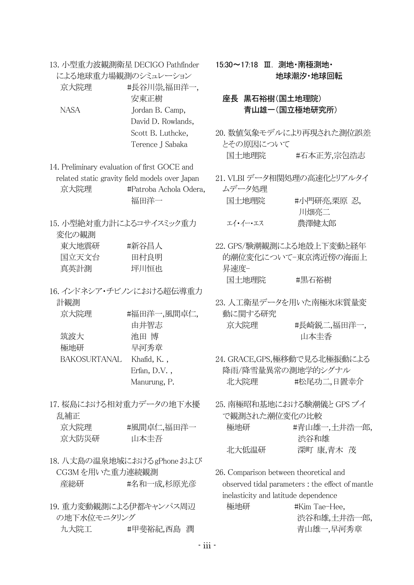13. 小型重力波観測衛星 DECIGO Pathfinder による地球重力場観測のシミュレーション 京大院理 #長谷川崇,福田洋一,

|      | 安東正樹               |
|------|--------------------|
| NASA | Jordan B. Camp,    |
|      | David D. Rowlands, |
|      | Scott B. Luthcke,  |
|      | Terence J Sabaka   |

14. Preliminary evaluation of first GOCE and related static gravity field models over Japan #Patroba Achola Odera, 京大院理 福田洋一

15. 小型絶対重力計によるコサイスミック重力 変化の観測  $\overline{1}$  . The state  $\overline{1}$  $\sim$  the second contract of  $\sim$ 

| 果入地農研 | 拼新分目人 |
|-------|-------|
| 国立天文台 | 田村良明  |
| 真英計測  | 坪川恒也  |

16. インドネシア・チビノンにおける超伝導重力 計観測

| #福田洋一,風間卓仁      |
|-----------------|
| 由井智志            |
| 池田 博            |
| 早河秀章            |
| Khafid, K.,     |
| Erfan, $D.V.$ , |
| Manurung, P.    |
|                 |

17. 桜島における相対重力データの地下水擾 乱補正 京大院理 #風間卓仁,福田洋一

- 18. 八丈島の温泉地域におけるgPhone および CG3Mを用いた重力連続観測 産総研 #名和一成,杉原光彦
- 19. 重力変動観測による伊都キャンパス周辺 の地下水位モニタリング 九大院工 #甲斐裕紀.西島 潤

15:30~17:18 Ⅲ. 測地·南極測地· 地球潮汐 地球回転

#### 座長 黒石裕樹(国土地理院) 青山雄一(国立極地研究所)

- 20. 数値気象モデルにより再現された測位誤差 とその原因について 国十地理院 #石本正芳,宗包浩志
- 21. VLBI データ相関処理の高速化とリアルタイ ムデータ処理 国十地理院 #小門研亮,栗原 忍, 川畑亮二 エイ・イー・エス 農澤健太郎
- 22. GPS/験潮観測による地殻上下変動と経年 的潮位変化について-東京湾近傍の海面上 昇速度-国十地理院 #黒石裕樹
- 23. 人工衛星データを用いた南極氷床質量変 動に関する研究 #長崎鋭二,福田洋一, 京大院理 山本圭香
- 24. GRACE, GPS, 極移動で見る北極振動による 降雨/降雪量異常の測地学的シグナル #松尾功二.日置幸介 北大院理
- 25. 南極昭和基地における験潮儀と GPS ブイ で観測された潮位変化の比較 極地研 #青山雄一,土井浩一郎, 渋谷和雄 北大低温研 深町 康,青木 茂
- 26. Comparison between theoretical and observed tidal parameters : the effect of mantle inelasticity and latitude dependence 極地研

#Kim Tae-Hee. 渋谷和雄,土井浩一郎, 青山雄一.早河秀章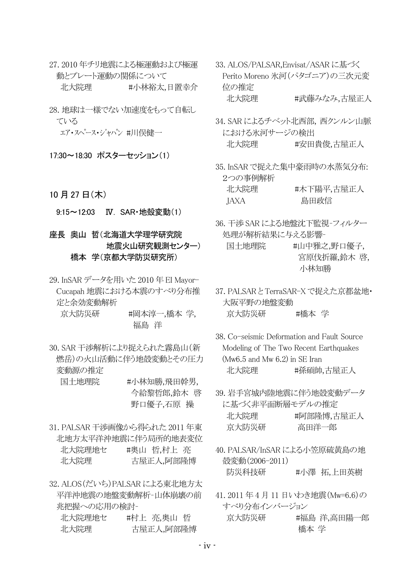- 27.2010年チリ地震による極運動および極運 動とプレート運動の関係について 北大院理 #小林裕太,日置幸介
- 28. 地球は一様でない加速度をもって自転し ている

エア・スペース・ジャパン #川俣健一

- 17:30~18:30 ポスターセッション(1)
- 10月27日(木)

9:15~12:03 IV. SAR·地殻変動(1)

- 座長 奥山 哲(北海道大学理学研究院 地震火山研究観測センター) 橋本 学(京都大学防災研究所)
- 29. InSAR データを用いた 2010年EI Mayor-Cucapah 地震における本震のすべり分布推 定と余効変動解析
	- 京大防災研 #岡本淳一,橋本 学, 福島 洋
- 30. SAR 干渉解析により捉えられた霧島山(新 燃岳)の火山活動に伴う地殻変動とその圧力 変動源の推定
	- 国十地理院 #小林知勝,飛田幹男, 今給黎哲郎,鈴木 啓 野口優子,石原 操
- 31. PALSAR 干渉画像から得られた 2011 年東 北地方太平洋沖地震に伴う局所的地表変位 北大院理地セ #奥山 哲,村上 亮 北大院理 古屋正人,阿部隆博
- 32 ALOS(だいち)PALSAR によろ東北地方大 平洋沖地震の地盤変動解析-山体崩壊の前 兆把握への応用の検討-

| 北大院理地セ | #村上 亮,奥山 哲 |
|--------|------------|
| 北大院理   | 古屋正人,阿部隆博  |

- 33. ALOS/PALSAR, Envisat/ASAR に基づく Perito Moreno 氷河(パタゴニア)の三次元変 位の推定 北大院理 #武藤みなみ,古屋正人
- 34. SAR によるチベット北西部, 西クンルン山脈 における氷河サージの検出 北大院理 #安田貴俊,古屋正人
- 35. InSAR で捉えた集中豪雨時の水蒸気分布: 2つの事例解析 北大院理 #木下陽平,古屋正人 **JAXA** 島田政信
- 36. 干渉 SAR による地盤沈下監視-フィルター 処理が解析結果に与える影響-
	- #山中雅之,野口優子, 国十地理院 宮原伐折羅,鈴木啓, 小林知勝
- 37. PALSARとTerraSAR-X で捉えた京都盆地· 大阪平野の地盤変動 京大防災研 #橋本 学
- 38. Co-seismic Deformation and Fault Source Modeling of The Two Recent Earthquakes  $(Mw6.5$  and Mw  $6.2)$  in SE Iran 北大院理 #孫碩帥,古屋正人
- 39. 岩手宮城内陸地震に伴う地殻変動データ に基づく非平面断層モデルの推定 北大院理 #阿部降博,古屋正人 京大防災研 高田洋一郎
- 40. PALSAR/InSAR による小笠原硫黄島の地 殻変動(2006-2011) 防災科技研 #小澤拓,上田英樹
- 41.2011年4月11日いわき地震(Mw=6.6)の すべり分布インバージョン 京大防災研 #福島 洋,高田陽一郎 橋本 学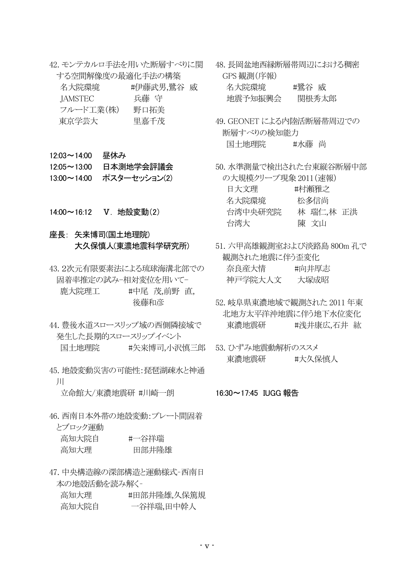42. モンテカルロ手法を用いた断層すべりに関 する空間解像度の最適化手法の構築

| 名大院環境     | #伊藤武男,鷺谷 威 |  |
|-----------|------------|--|
| IAMSTEC   | 兵藤 守       |  |
| フルード工業(株) | 野口拓美       |  |
| 東京学芸大     | 里嘉千茂       |  |

- 12:03~14:00 昼休み
- 12:05~13:00 日本測地学会評議会
- 13:00~14:00 ポスターセッション(2)
- 14:00~16:12 V. 地殻変動(2)
- 座長: 矢来博司(国土地理院) 大久保慎人(東濃地震科学研究所)
- 43.2次元有限要素法による琉球海溝北部での 固着率推定の試み-相対変位を用いて-鹿大院理工 #中尾 茂,前野 直, 後藤和彦
- 44. 豊後水道スロースリップ域の西側隣接域で 発生した長期的スロースリップイベント 国十地理院 #矢来博司.小沢慎三郎
- 45. 地殻変動災害の可能性・琵琶湖疎水と神通  $\mathbf{H}$

立命館大/東濃地震研 #川崎一朗 16:30~17:45 IUGG 報告

46. 西南日本外帯の地殻変動:プレート間固着 とブロック運動

| 高知大院自 | #一谷祥瑞 |
|-------|-------|
| 高知大理  | 田部井隆雄 |

47. 中央構造線の深部構造と運動様式-西南日 本の地殻活動を読み解くin a shekarar 1990 a tsari

| 咼知大埋  | #出部井隆雄,久保篤規 |
|-------|-------------|
| 高知大院自 | 一谷祥瑞,田中幹人   |

48. 長岡盆地西縁断層帯周辺における稠密 GPS 観測(序報)

| 名大院環境   | #鷺谷 威 |
|---------|-------|
| 地震予知振興会 | 関根秀太郎 |

- 49. GEONET による内陸活断層帯周辺での 断層すべりの検知能力 国十地理院 #水藤 尚
- 50. 水準測量で検出された台東縦谷断層中部 の大規模クリープ現象 2011(速報) 日大文理 #村瀬雅之 名大院環境 松多信尚 台湾中央研究院 林 瑞仁,林 正洪 陳 文山 台湾大
- 51. 六甲高雄観測室および淡路島 800m 孔で 観測された地震に伴う歪変化 奈良産大情 #向井厚志 神戸学院大人文 大塚成昭
- 52. 岐阜県東濃地域で観測された 2011 年東 北地方太平洋沖地震に伴う地下水位変化 東濃地震研 #浅井康広.石井 紘
- 53. ひずみ地震動解析のススメ 東濃地震研 #大久保慎人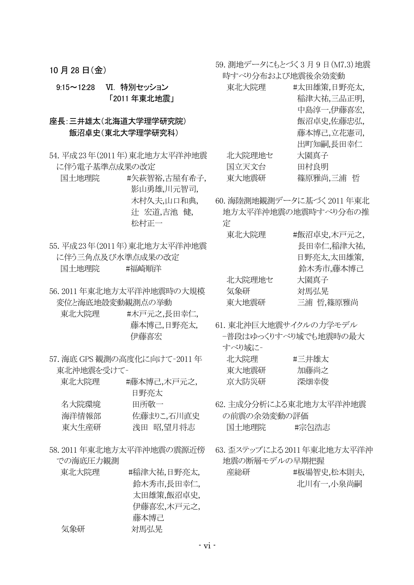10月28日(金)

9:15~12:28 VI. 特別セッション 「2011年東北地震」

### 座長:三井雄太(北海道大学理学研究院) 飯沼卓史(東北大学理学研究科)

- 54. 平成23年(2011年) 東北地方太平洋沖地震 に伴う雷子基準点成果の改定
	- 国土地理院 #矢萩智裕,古屋有希子, 影山勇雄,川元智司, 木村久夫,山口和典, 辻 宏道,吉池健, 松村正一
- 55. 平成23年(2011年)東北地方太平洋沖地震 に伴う三角点及び水準点成果の改定 国十地理院 #福崎順洋
- 56.2011年東北地方太平洋沖地震時の大規模 変位と海底地殻変動観測点の挙動

東北大院理 #木戸元之,長田幸仁, 藤本博己,日野亮太, 伊藤喜宏

57. 海底 GPS 観測の高度化に向けて-2011 年 東北沖地震を受けて-

| #滕本博己,木尸元之, |
|-------------|
| 日野亮太        |
| 田所敬一        |
| 佐藤まりこ,石川直史  |
| 浅田 昭,望月将志   |
|             |

- 58.2011年東北地方太平洋沖地震の震源近傍 での海底圧力観測
	- 東北大院理 #稲津大祐,日野亮太, 給木秀市,長田幸仁. 太田雄策,飯沼卓史. 伊藤喜宏,木戸元之, 藤本博己 気象研 対馬弘晃
- 59. 測地データにもとづく3月9日 (M7.3)地震 時すべり分布および地震後余効変動
	- 東北大院理 #太田雄策,日野亮太, 稲津大祐,三品正明, 中島淳一,伊藤喜宏, 飯沼卓史,佐藤忠弘, 藤本博己,立花憲司, 出町知嗣.長田幸仁 北大院理地セ 大園真子 国立天文台 田村良明 東大地震研 篠原雅尚,三浦 哲
- 60. 海陸測地観測データに基づく2011 年東北 地方太平洋沖地震の地震時すべり分布の推 定

| 東北大院理  | #飯沼卓史,木戸元之, |
|--------|-------------|
|        | 長田幸仁,稲津大祐,  |
|        | 日野亮太,太田雄策,  |
|        | 鈴木秀市,藤本博己   |
| 北大院理地セ | 大園真子        |
| 気象研    | 対馬弘晃        |
| 東大地震研  | 三浦 哲,篠原雅尚   |

61. 東北沖巨大地震サイクルの力学モデル -普段はゆっくりすべり域でも地震時の最大 すべり はに-

| 北大院理  | #三井雄太 |
|-------|-------|
| 東大地震研 | 加藤尚之  |
| 京大防災研 | 深畑幸俊  |

- 62. 主成分分析による東北地方太平洋沖地震 の前震の余効変動の評価 国土地理院 #宗包浩志
- 63. 歪ステップによる2011年東北地方太平洋沖 地震の断層モデルの早期把握 #板場智史,松本則夫, 産総研 北川有一、小泉尚嗣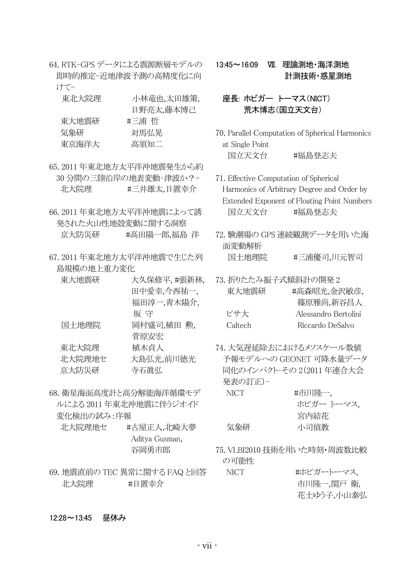64. RTK-GPS データによる震源断層モデルの 即時的推定-近地津波予測の高精度化に向 けてー

| 東北大院理 | 小林竜也,太田雄策, | 座長: ホビガー トーマス(NICT)                  |
|-------|------------|--------------------------------------|
|       | 日野亮太,藤本博己  | 荒木博志(国立天文台)                          |
| 東大地震研 | #三浦 哲      |                                      |
| 気象研   | 対馬弘晃       | 70. Parallel Computation of Spherica |
| 東京海洋大 | 高須知二       | at Single Point                      |

- 65.2011年東北地方太平洋沖地震発生から約 30 分間の三陸沿岸の地表変動-津波か?-北大院理 #三井雄太,日置幸介
- 66.2011年東北地方太平洋沖地震によって誘 発された火山性地殻変動に関する洞察 京大防災研 #高田陽一郎,福島 洋
- 67.2011年東北地方太平洋沖地震で生じた列 島規模の地上重力変化

| 東大地震研  | 大久保修平,#張新林, |  |
|--------|-------------|--|
|        | 田中愛幸,今西祐一,  |  |
|        | 福田淳一,青木陽介,  |  |
|        | 坂 守         |  |
| 国土地理院  | 岡村盛司,植田 勲,  |  |
|        | 菅原安宏        |  |
| 東北大院理  | 植木貞人        |  |
| 北大院理地セ | 大島弘光,前川徳光   |  |
| 京大防災研  | 寺石眞弘        |  |
|        |             |  |

- 68. 衛星海面高度計と高分解能海洋循環モデ ルによる 2011 年東北沖地震に伴うジオイド 変化検出の試み:序報
	- 北大院理地セ #古屋正人,北崎大夢 Aditya Gusman, 谷岡勇市郎
- 69. 地震直前の TEC 異常に関する FAQ と回答 北大院理 #日置幸介
- xz{|x}w v NaG §FEG 計測技術·惑星測地
	- 荒木博志(国立天文台)
- 70. Parallel Computation of Spherical Harmonics at Single Point 国立天文台 #福島登志夫
- 71. Effective Computation of Spherical Harmonics of Arbitrary Degree and Order by Extended Exponent of Floating Point Numbers 国立天文台 #福島登志夫
- 72. 験潮場の GPS 連続観測データを用いた海 面変動解析 国十地理院 #三浦優司,川元智司
- 73. 折りたたみ振子式傾斜計の開発2 東大地震研 #高森昭光,金沢敏彦, 篠原雅尚,新谷昌人 ピサ大 <br>
Alessandro Bertolini Caltech Riccardo DeSalvo
- 74. 大気遅延除去におけるメソスケール数値 予報モデルへの GEONET 可降水量データ 同化のインパクト-その 2(2011年連合大会 発表の訂正)-

| NICT. | #市川隆一,     |
|-------|------------|
|       | ホビガー トーマス, |
|       | 宮内結花       |
| 気象研   | 小司偵教       |

75. VLBI2010 技術を用いた時刻·周波数比較 の可能性

NICT おようおん おんじガートーマス 市川降一,関戸衛, 花士ゆう子.小山泰弘

 $12:28 \sim 13:45$ 昼休み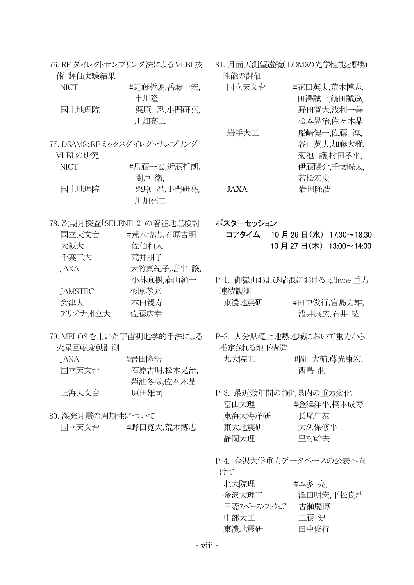| 術-評価実験結果-        | 76. RF ダイレクトサンプリング法による VLBI 技 | 81. 月面天測望遠鏡(ILOM)の光学性能と駆動<br>性能の評価  |                       |                           |
|------------------|-------------------------------|-------------------------------------|-----------------------|---------------------------|
| <b>NICT</b>      | #近藤哲朗,岳藤一宏,<br>市川隆一           | 国立天文台                               |                       | #花田英夫,荒木博志,<br>田澤誠一,鶴田誠逸, |
| 国土地理院            | 栗原 忍,小門研亮,<br>川畑亮二            |                                     |                       | 野田寛大,浅利一善<br>松本晃治,佐々木晶    |
|                  | 77. DSAMS:RFミックスダイレクトサンプリング   | 岩手大工                                |                       | 船崎健一,佐藤 淳,<br>谷口英夫加藤大雅    |
| VLBI の研究         |                               |                                     |                       | 菊池 護村田孝平,                 |
| <b>NICT</b>      | #岳藤一宏,近藤哲朗,<br>関戸 衛,          |                                     | 若松宏史                  | 伊藤陽介,千葉晄太,                |
| 国土地理院            | 栗原 忍,小門研亮,<br>川畑亮二            | <b>JAXA</b>                         | 岩田隆浩                  |                           |
|                  | 78. 次期月探査「SELENE-2」の着陸地点検討    | ポスターセッション                           |                       |                           |
| 国立天文台            | #荒木博志,石原吉明                    | コアタイム 10月26日 (水) 17:30~18:30        |                       |                           |
| 大阪大              | 佐伯和人                          |                                     | 10月27日(木) 13:00~14:00 |                           |
| 千葉工大             | 荒井朋子                          |                                     |                       |                           |
| JAXA             | 大竹真紀子,唐牛 譲,                   |                                     |                       |                           |
|                  | 小林直樹,春山純一                     | P-1. 御嶽山および瑞浪における gPhone 重力         |                       |                           |
| <b>JAMSTEC</b>   | 杉原孝充                          | 連続観測                                |                       |                           |
| 会津大              | 本田親寿                          | 東濃地震研                               |                       | #田中俊行,宮島力雄,               |
| アリゾナ州立大          | 佐藤広幸                          |                                     |                       | 浅井康広,石井 紘                 |
| 火星回転変動計測         | 79. MELOS を用いた宇宙測地学的手法による     | P-2. 大分県滝上地熱地域において重力から<br>推定される地下構造 |                       |                           |
| JAXA             | #岩田隆浩                         | 九大院工                                |                       | #岡 大輔,藤光康宏,               |
| 国立天文台            | 石原吉明,松本晃治,<br>菊池冬彦,佐々木晶       |                                     | 西島 潤                  |                           |
| 上海天文台            | 原田雄司                          | P-3. 最近数年間の静岡県内の重力変化                |                       |                           |
|                  |                               | 富山大理                                |                       | #金澤洋平,楠本成寿                |
| 80. 深発月震の周期性について |                               | 東海大海洋研                              | 長尾年恭                  |                           |
| 国立天文台            | #野田寛大,荒木博志                    | 東大地震研                               | 大久保修平                 |                           |
|                  |                               | 静岡大理                                | 里村幹夫                  |                           |
|                  |                               | P-4. 金沢大学重力データベースの公表へ向<br>けて        |                       |                           |
|                  |                               | 北大院理                                | #本多 亮,                |                           |
|                  |                               | 金沢大理工                               |                       | 澤田明宏,平松良浩                 |
|                  |                               | 三菱スペースソフトウェア 古瀬慶博                   |                       |                           |
|                  |                               | 中部大工                                | 工藤 健                  |                           |
|                  |                               |                                     |                       |                           |

東濃地震研 田中俊行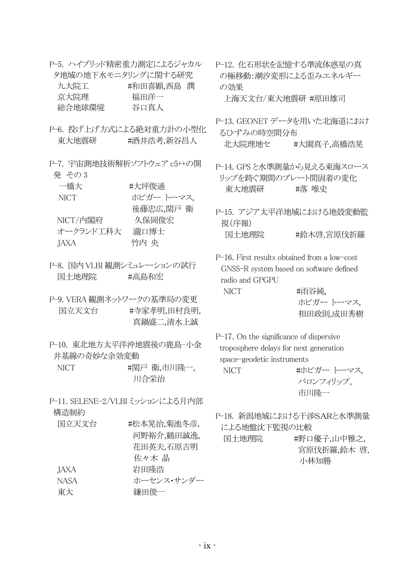- P-5. ハイブリッド精密重力測定によるジャカル タ地域の地下水モニタリングに関する研究 九大院工 #和田喜顕,西島 潤 京大院理 総合地球環境 谷口真人
- P-6. 投げ上げ方式による絶対重力計の小型化 東大地震研 #酒井浩考,新谷昌人
- P-7. 宇宙測地技術解析ソフトウェア c5++の開 発 その3

| 一橋大       | #大坪俊通      |
|-----------|------------|
| NICT      | ホビガー トーマス. |
|           | 後藤忠広,関戸 衛  |
| NICT/内閣府  | 久保岡俊宏      |
| オークランド工科大 | 瀧口博士       |
| JAXA      | 竹内 央       |

P-8. 国内 VLBI 観測シミュレーションの試行 国十地理院 有言島和宏

P-9. VERA 観測ネットワークの基準局の変更 国立天文台 #寺家孝明,田村良明, 真鍋盛二,清水上誠

- P-10. 東北地方太平洋沖地震後の鹿島-小金 井基線の奇妙な余効変動
	- NICT #関戸 衛,市川隆一, 川合栄治
- P-11. SELENE-2/VLBI ミッションによる月内部 構造制約

| 国立天文台 | #松本晃治,菊池冬彦, |
|-------|-------------|
|       | 河野裕介,鶴田誠逸,  |
|       | 花田英夫,石原吉明   |
|       | 佐々木 晶       |
| JAXA  | 岩田降浩        |
| NASA  | ホーセンス・サンダー  |
| 東大    | 鎌田俊一        |
|       |             |

P-12. 化石形状を記憶する準流体惑星の真 の極移動:潮汐変形による歪みエネルギー の効果

上海天文台/東大地震研 #原田雄司

- P-13. GEONET データを用いた北海道におけ るひずみの時空間分布 北大院理地セ #大園真子.高橋浩晃
- P-14. GPSと水準測量から見える東海スロース リップを跨ぐ期間のプレート間固着の変化 東大地震研 #落 唯史
- P-15. アジア太平洋地域における地殻変動監 視(序報) 国土地理院 #鈴木啓,宮原伐折羅

P-16. First results obtained from a low-cost GNSS-R system based on software defined radio and GPGPU NICT #雨谷純,

ホビガー トーマス. 相田政則成田秀樹

P−17. On the significance of dispersive troposphere delays for next generation space-geodetic instruments

NICT およびガートーマス. バロンフィリップ, 市Ⅲ降一

P-18. 新潟地域における干渉SARと水準測量 による地盤沈下監視の比較

国土地理院 #野口優子,山中雅之, 宮原伐折羅,鈴木啓 小林知勝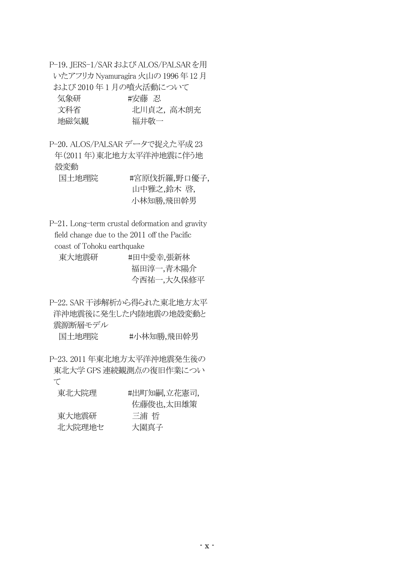P-19. JERS-1/SAR および ALOS/PALSARを用 いたアフリカ Nyamuragira 火山の 1996年12月 および 2010年1月の噴火活動について ɿ ɿřȟƻɿɿɿɿɿɿɿɿɿɿɿɿ ʀ¥ȁ ð

| 気象研  | #安滕 忍 |           |
|------|-------|-----------|
| 文科省  |       | 北川貞之,高木朗充 |
| 地磁気観 | 福井敬一  |           |

P-20. ALOS/PALSAR データで捉えた平成 23 年(2011年)東北地方太平洋沖地震に伴う地 殻変動 国土地理院 #宮原伐折羅,野口優子, ɿɿɿɿɿɿɿɿɿɿɿɿɿɿɿɿɿɿɿɿɿ¿ɜ ʄɃĵ tʄ

小林知勝,飛田幹男

P-21. Long-term crustal deformation and gravity field change due to the 2011 off the Pacific coast of Tohoku earthquake

| 東大地震研 | #田中愛幸,張新林  |
|-------|------------|
|       | 福田淳一,青木陽介  |
|       | 今西祐一,大久保修平 |

P-22. SAR 干渉解析から得られた東北地方太平 洋沖地震後に発生した内陸地震の地殻変動と 震源断層モデル

国土地理院 #小林知勝,飛田幹男

P-23. 2011 年東北地方太平洋沖地震発生後の 東北大学 GPS 連続観測点の復旧作業につい  $\tau$ 

| 東北大院理  | #出町知嗣,立花憲司, |
|--------|-------------|
|        | 佐藤俊也,太田雄策   |
| 東大地震研  | 三浦 哲        |
| 北大院理地セ | 大園真子        |